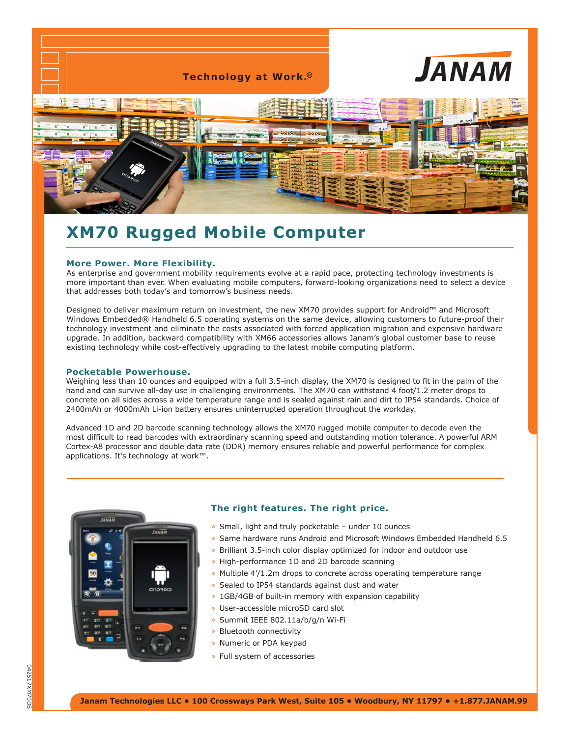

# **XM70 Rugged Mobile Computer**

### **More Power. More Flexibility.**

As enterprise and government mobility requirements evolve at a rapid pace, protecting technology investments is more important than ever. When evaluating mobile computers, forward-looking organizations need to select a device that addresses both today's and tomorrow's business needs.

Designed to deliver maximum return on investment, the new XM70 provides support for Android™ and Microsoft Windows Embedded® Handheld 6.5 operating systems on the same device, allowing customers to future-proof their technology investment and eliminate the costs associated with forced application migration and expensive hardware upgrade. In addition, backward compatibility with XM66 accessories allows Janam's global customer base to reuse existing technology while cost-effectively upgrading to the latest mobile computing platform.

#### **Pocketable Powerhouse.**

Weighing less than 10 ounces and equipped with a full 3.5-inch display, the XM70 is designed to fit in the palm of the hand and can survive all-day use in challenging environments. The XM70 can withstand 4 foot/1.2 meter drops to concrete on all sides across a wide temperature range and is sealed against rain and dirt to IP54 standards. Choice of 2400mAh or 4000mAh Li-ion battery ensures uninterrupted operation throughout the workday.

Advanced 1D and 2D barcode scanning technology allows the XM70 rugged mobile computer to decode even the most difficult to read barcodes with extraordinary scanning speed and outstanding motion tolerance. A powerful ARM Cortex-A8 processor and double data rate (DDR) memory ensures reliable and powerful performance for complex applications. It's technology at work™.



## **The right features. The right price.**

- » Small, light and truly pocketable under 10 ounces
- » Same hardware runs Android and Microsoft Windows Embedded Handheld 6.5
- » Brilliant 3.5-inch color display optimized for indoor and outdoor use
- » High-performance 1D and 2D barcode scanning
- » Multiple 4'/1.2m drops to concrete across operating temperature range
- » Sealed to IP54 standards against dust and water
- » 1GB/4GB of built-in memory with expansion capability
- » User-accessible microSD card slot
- » Summit IEEE 802.11a/b/g/n Wi-Fi
- » Bluetooth connectivity
- » Numeric or PDA keypad
- » Full system of accessories